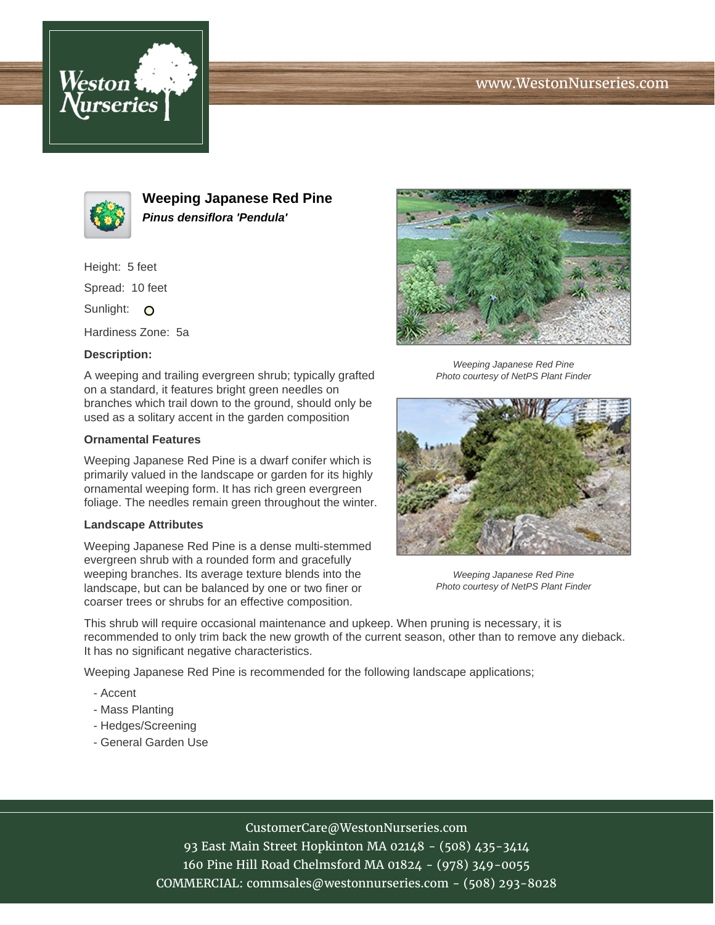





**Weeping Japanese Red Pine Pinus densiflora 'Pendula'**

Height: 5 feet

Spread: 10 feet

Sunlight: O

Hardiness Zone: 5a

### **Description:**

A weeping and trailing evergreen shrub; typically grafted on a standard, it features bright green needles on branches which trail down to the ground, should only be used as a solitary accent in the garden composition

### **Ornamental Features**

Weeping Japanese Red Pine is a dwarf conifer which is primarily valued in the landscape or garden for its highly ornamental weeping form. It has rich green evergreen foliage. The needles remain green throughout the winter.

#### **Landscape Attributes**

Weeping Japanese Red Pine is a dense multi-stemmed evergreen shrub with a rounded form and gracefully weeping branches. Its average texture blends into the landscape, but can be balanced by one or two finer or coarser trees or shrubs for an effective composition.



Weeping Japanese Red Pine Photo courtesy of NetPS Plant Finder



Weeping Japanese Red Pine Photo courtesy of NetPS Plant Finder

This shrub will require occasional maintenance and upkeep. When pruning is necessary, it is recommended to only trim back the new growth of the current season, other than to remove any dieback. It has no significant negative characteristics.

Weeping Japanese Red Pine is recommended for the following landscape applications;

- Accent
- Mass Planting
- Hedges/Screening
- General Garden Use

# CustomerCare@WestonNurseries.com

93 East Main Street Hopkinton MA 02148 - (508) 435-3414 160 Pine Hill Road Chelmsford MA 01824 - (978) 349-0055 COMMERCIAL: commsales@westonnurseries.com - (508) 293-8028